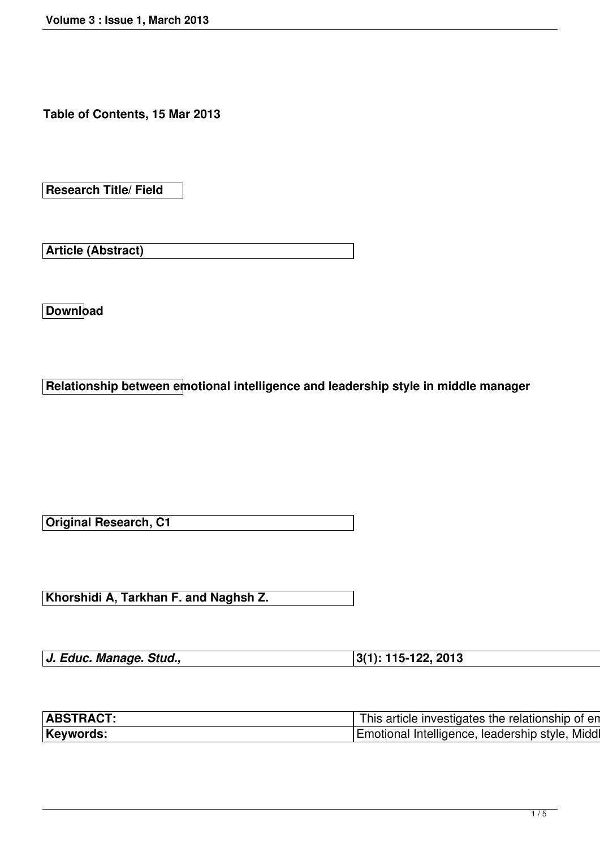**Table of Contents, 15 Mar 2013**

**Research Title/ Field**

**Article (Abstract)**

**Download**

**Relationship between emotional intelligence and leadership style in middle manager**

**Original Research, C1**

**Khorshidi A, Tarkhan F. and Naghsh Z.**

| J. Educ. Manage. Stud., | $ 3(1): 115-122, 2013$ |
|-------------------------|------------------------|
|                         |                        |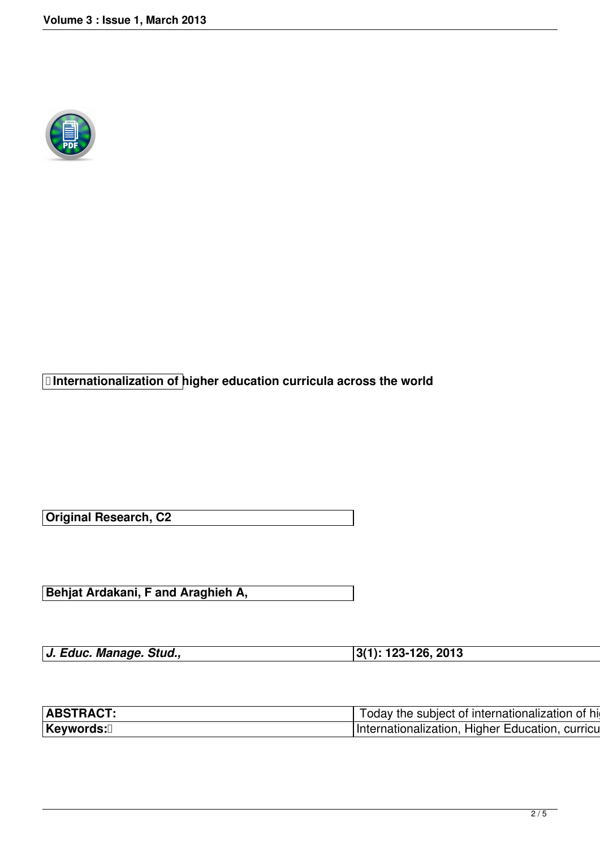

 **Internationalization of higher education curricula across the world** 

**Original Research, C2**

**Behjat Ardakani, F and Araghieh A,** 

*J. Educ. Manage. Stud.,* **3(1): 123-126, 2013**

| $\vert$ ABSTRACT: $\vert$ Today the subject of internationalization of higher part of $\vert$ Today the subject of internationalization of higher part of $\vert$                                                                        |
|------------------------------------------------------------------------------------------------------------------------------------------------------------------------------------------------------------------------------------------|
| Keywords: <sup>[]</sup> Keywords: Note that the set of the set of the set of the set of the set of the set of the set of the set of the set of the set of the set of the set of the set of the set of the set of the set of the set of t |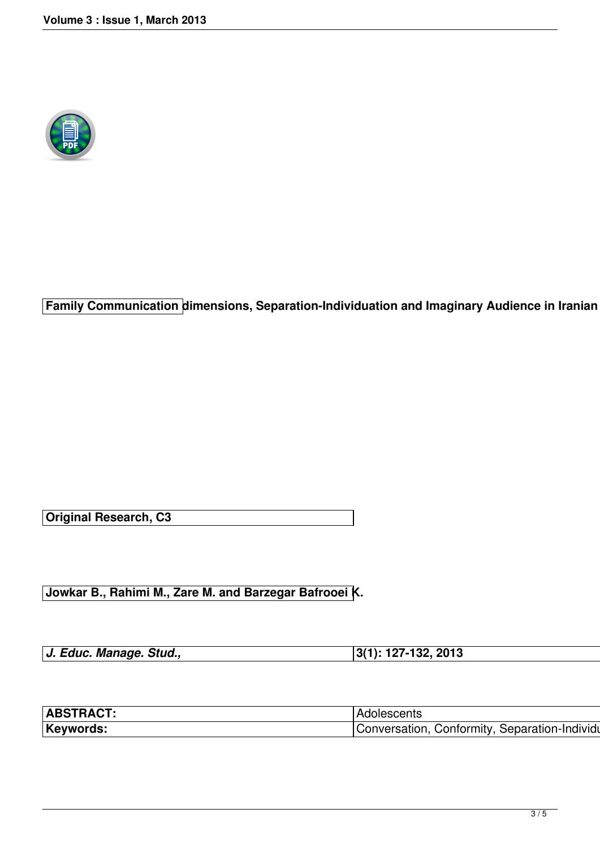

**Family Communication dimensions, Separation-Individuation and Imaginary Audience in Iranian** 

**Original Research, C3**

**Jowkar B., Rahimi M., Zare M. and Barzegar Bafrooei K.** 

| J. Educ. Manage. Stud., | $ 3(1): 127-132, 2013$ |
|-------------------------|------------------------|
|                         |                        |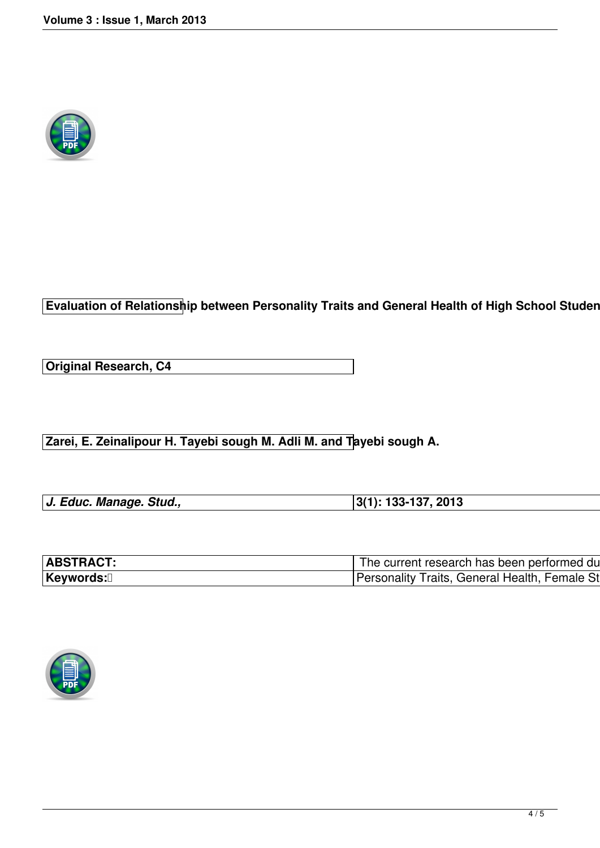

**Evaluation of Relationship between Personality Traits and General Health of High School Student** 

**Original Research, C4**

**Zarei, E. Zeinalipour H. Tayebi sough M. Adli M. and Tayebi sough A.**

| J. Educ. Manage. Stud., | $ 3(1): 133-137, 2013$ |  |
|-------------------------|------------------------|--|